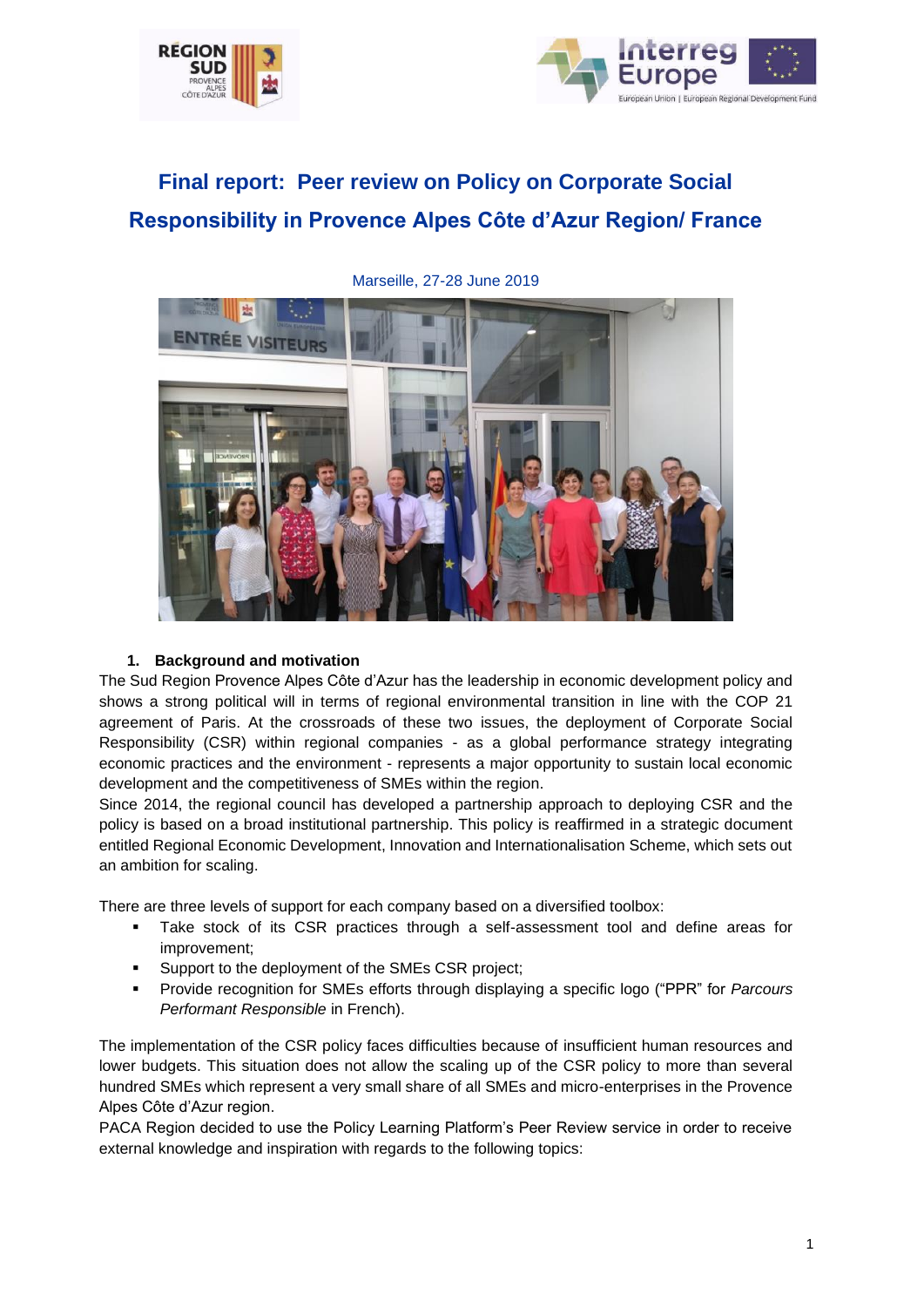



# **Final report: Peer review on Policy on Corporate Social Responsibility in Provence Alpes Côte d'Azur Region/ France**



Marseille, 27-28 June 2019

## **1. Background and motivation**

The Sud Region Provence Alpes Côte d'Azur has the leadership in economic development policy and shows a strong political will in terms of regional environmental transition in line with the COP 21 agreement of Paris. At the crossroads of these two issues, the deployment of Corporate Social Responsibility (CSR) within regional companies - as a global performance strategy integrating economic practices and the environment - represents a major opportunity to sustain local economic development and the competitiveness of SMEs within the region.

Since 2014, the regional council has developed a partnership approach to deploying CSR and the policy is based on a broad institutional partnership. This policy is reaffirmed in a strategic document entitled Regional Economic Development, Innovation and Internationalisation Scheme, which sets out an ambition for scaling.

There are three levels of support for each company based on a diversified toolbox:

- Take stock of its CSR practices through a self-assessment tool and define areas for improvement;
- Support to the deployment of the SMEs CSR project;
- Provide recognition for SMEs efforts through displaying a specific logo ("PPR" for *Parcours Performant Responsible* in French).

The implementation of the CSR policy faces difficulties because of insufficient human resources and lower budgets. This situation does not allow the scaling up of the CSR policy to more than several hundred SMEs which represent a very small share of all SMEs and micro-enterprises in the Provence Alpes Côte d'Azur region.

PACA Region decided to use the Policy Learning Platform's Peer Review service in order to receive external knowledge and inspiration with regards to the following topics: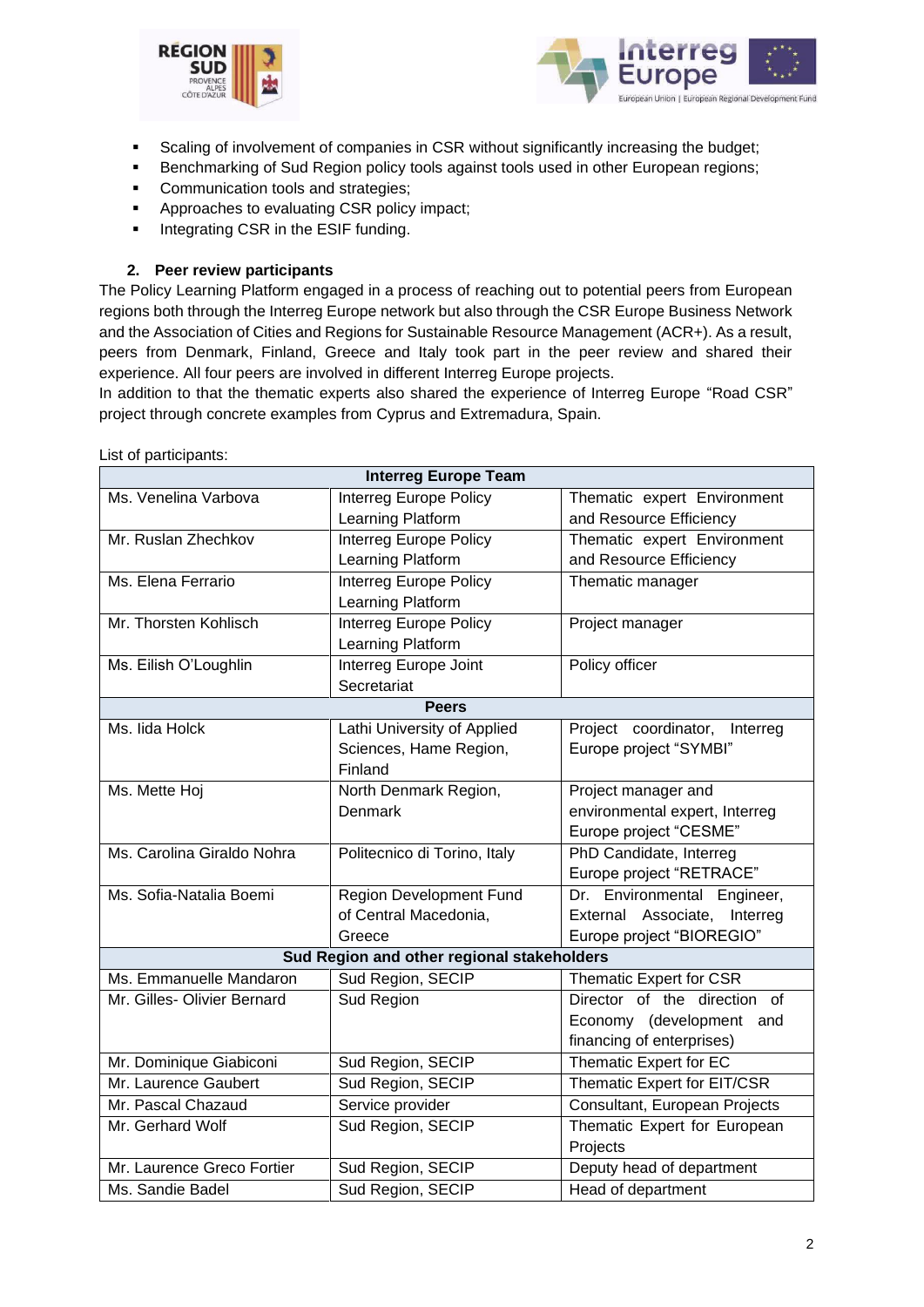



- **•** Scaling of involvement of companies in CSR without significantly increasing the budget;
- Benchmarking of Sud Region policy tools against tools used in other European regions;
- **Communication tools and strategies;**
- Approaches to evaluating CSR policy impact;
- **•** Integrating CSR in the ESIF funding.

## **2. Peer review participants**

The Policy Learning Platform engaged in a process of reaching out to potential peers from European regions both through the Interreg Europe network but also through the CSR Europe Business Network and the Association of Cities and Regions for Sustainable Resource Management (ACR+). As a result, peers from Denmark, Finland, Greece and Italy took part in the peer review and shared their experience. All four peers are involved in different Interreg Europe projects.

In addition to that the thematic experts also shared the experience of Interreg Europe "Road CSR" project through concrete examples from Cyprus and Extremadura, Spain.

| <b>Interreg Europe Team</b>                |                                |                                  |  |
|--------------------------------------------|--------------------------------|----------------------------------|--|
| Ms. Venelina Varbova                       | <b>Interreg Europe Policy</b>  | Thematic expert Environment      |  |
|                                            | Learning Platform              | and Resource Efficiency          |  |
| Mr. Ruslan Zhechkov                        | Interreg Europe Policy         | Thematic expert Environment      |  |
|                                            | Learning Platform              | and Resource Efficiency          |  |
| Ms. Elena Ferrario                         | <b>Interreg Europe Policy</b>  | Thematic manager                 |  |
|                                            | Learning Platform              |                                  |  |
| Mr. Thorsten Kohlisch                      | <b>Interreg Europe Policy</b>  | Project manager                  |  |
|                                            | Learning Platform              |                                  |  |
| Ms. Eilish O'Loughlin                      | <b>Interreg Europe Joint</b>   | Policy officer                   |  |
|                                            | Secretariat                    |                                  |  |
| <b>Peers</b>                               |                                |                                  |  |
| Ms. Iida Holck                             | Lathi University of Applied    | Project coordinator,<br>Interreg |  |
|                                            | Sciences, Hame Region,         | Europe project "SYMBI"           |  |
|                                            | Finland                        |                                  |  |
| Ms. Mette Hoj                              | North Denmark Region,          | Project manager and              |  |
|                                            | <b>Denmark</b>                 | environmental expert, Interreg   |  |
|                                            |                                | Europe project "CESME"           |  |
| Ms. Carolina Giraldo Nohra                 | Politecnico di Torino, Italy   | PhD Candidate, Interreg          |  |
|                                            |                                | Europe project "RETRACE"         |  |
| Ms. Sofia-Natalia Boemi                    | <b>Region Development Fund</b> | Dr. Environmental Engineer,      |  |
|                                            | of Central Macedonia,          | External Associate, Interreg     |  |
|                                            | Greece                         | Europe project "BIOREGIO"        |  |
| Sud Region and other regional stakeholders |                                |                                  |  |
| Ms. Emmanuelle Mandaron                    | Sud Region, SECIP              | Thematic Expert for CSR          |  |
| Mr. Gilles- Olivier Bernard                | <b>Sud Region</b>              | Director of the direction of     |  |
|                                            |                                | Economy (development and         |  |
|                                            |                                | financing of enterprises)        |  |
| Mr. Dominique Giabiconi                    | Sud Region, SECIP              | Thematic Expert for EC           |  |
| Mr. Laurence Gaubert                       | Sud Region, SECIP              | Thematic Expert for EIT/CSR      |  |
| Mr. Pascal Chazaud                         | Service provider               | Consultant, European Projects    |  |
| Mr. Gerhard Wolf                           | Sud Region, SECIP              | Thematic Expert for European     |  |
|                                            |                                | Projects                         |  |
| Mr. Laurence Greco Fortier                 | Sud Region, SECIP              | Deputy head of department        |  |
| Ms. Sandie Badel                           | Sud Region, SECIP              | Head of department               |  |

List of participants: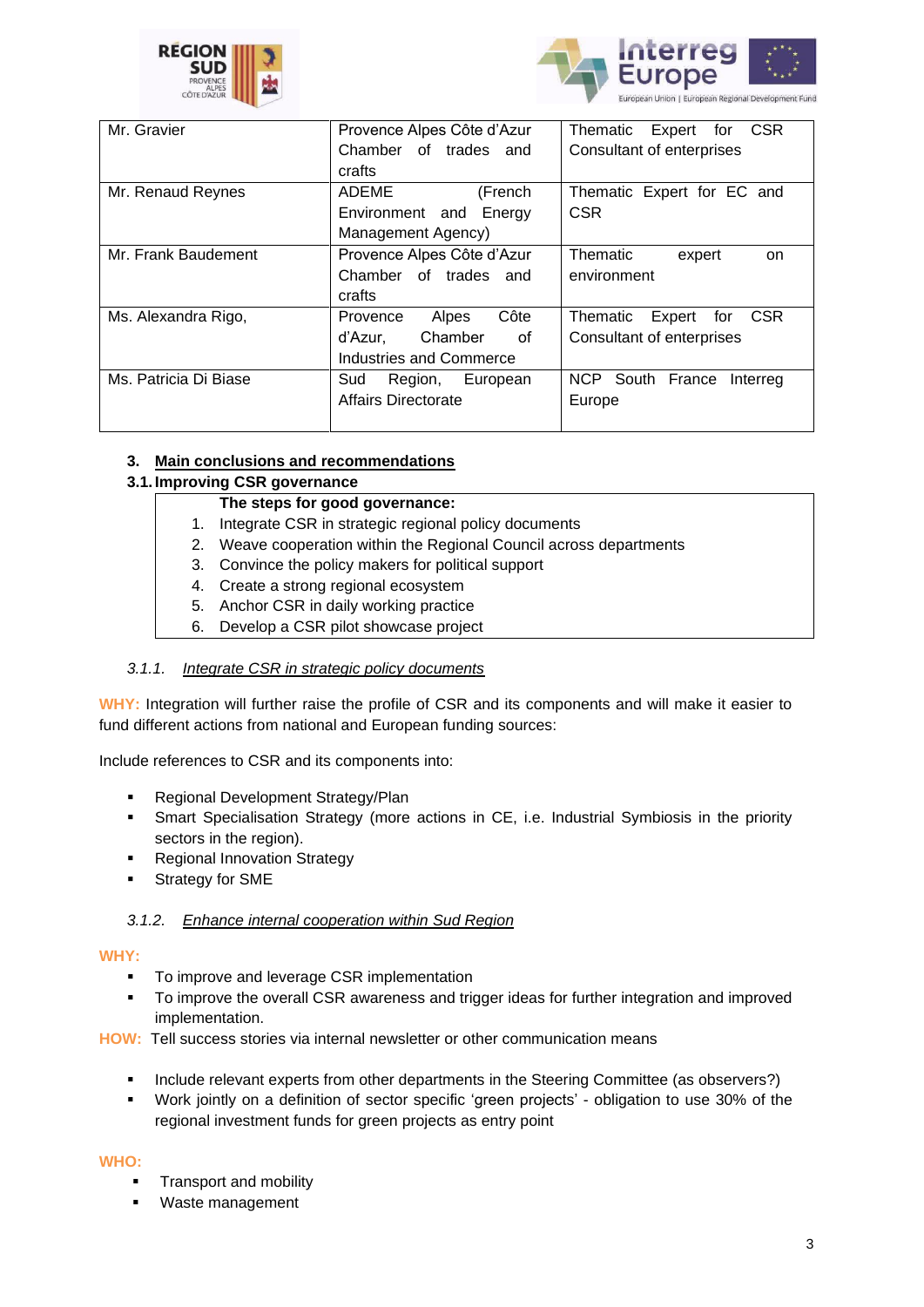



| Mr. Gravier           | Provence Alpes Côte d'Azur | <b>CSR</b><br>Thematic<br>Expert<br>for |
|-----------------------|----------------------------|-----------------------------------------|
|                       | Chamber of trades and      | Consultant of enterprises               |
|                       | crafts                     |                                         |
| Mr. Renaud Reynes     | ADEME<br>(French           | Thematic Expert for EC and              |
|                       | Environment and Energy     | <b>CSR</b>                              |
|                       | Management Agency)         |                                         |
| Mr. Frank Baudement   | Provence Alpes Côte d'Azur | <b>Thematic</b><br>expert<br>on         |
|                       | Chamber of trades<br>and   | environment                             |
|                       | crafts                     |                                         |
| Ms. Alexandra Rigo,   | Côte<br>Alpes<br>Provence  | <b>CSR</b><br>Thematic<br>Expert<br>for |
|                       | Chamber<br>of<br>d'Azur.   | Consultant of enterprises               |
|                       | Industries and Commerce    |                                         |
| Ms. Patricia Di Biase | Sud<br>European<br>Region, | NCP South France<br>Interreg            |
|                       | Affairs Directorate        | Europe                                  |
|                       |                            |                                         |

# **3. Main conclusions and recommendations**

# **3.1. Improving CSR governance**

# **The steps for good governance:**

- 1. Integrate CSR in strategic regional policy documents
- 2. Weave cooperation within the Regional Council across departments
- 3. Convince the policy makers for political support
- 4. Create a strong regional ecosystem
- 5. Anchor CSR in daily working practice
- 6. Develop a CSR pilot showcase project

## *3.1.1. Integrate CSR in strategic policy documents*

**WHY:** Integration will further raise the profile of CSR and its components and will make it easier to fund different actions from national and European funding sources:

Include references to CSR and its components into:

- Regional Development Strategy/Plan
- Smart Specialisation Strategy (more actions in CE, i.e. Industrial Symbiosis in the priority sectors in the region).
- **Regional Innovation Strategy**
- **EXECUTE:** Strategy for SME

## *3.1.2. Enhance internal cooperation within Sud Region*

#### **WHY:**

- To improve and leverage CSR implementation
- To improve the overall CSR awareness and trigger ideas for further integration and improved implementation.
- **HOW:** Tell success stories via internal newsletter or other communication means
	- Include relevant experts from other departments in the Steering Committee (as observers?)
	- Work jointly on a definition of sector specific 'green projects' obligation to use 30% of the regional investment funds for green projects as entry point

## **WHO:**

- **Transport and mobility**
- Waste management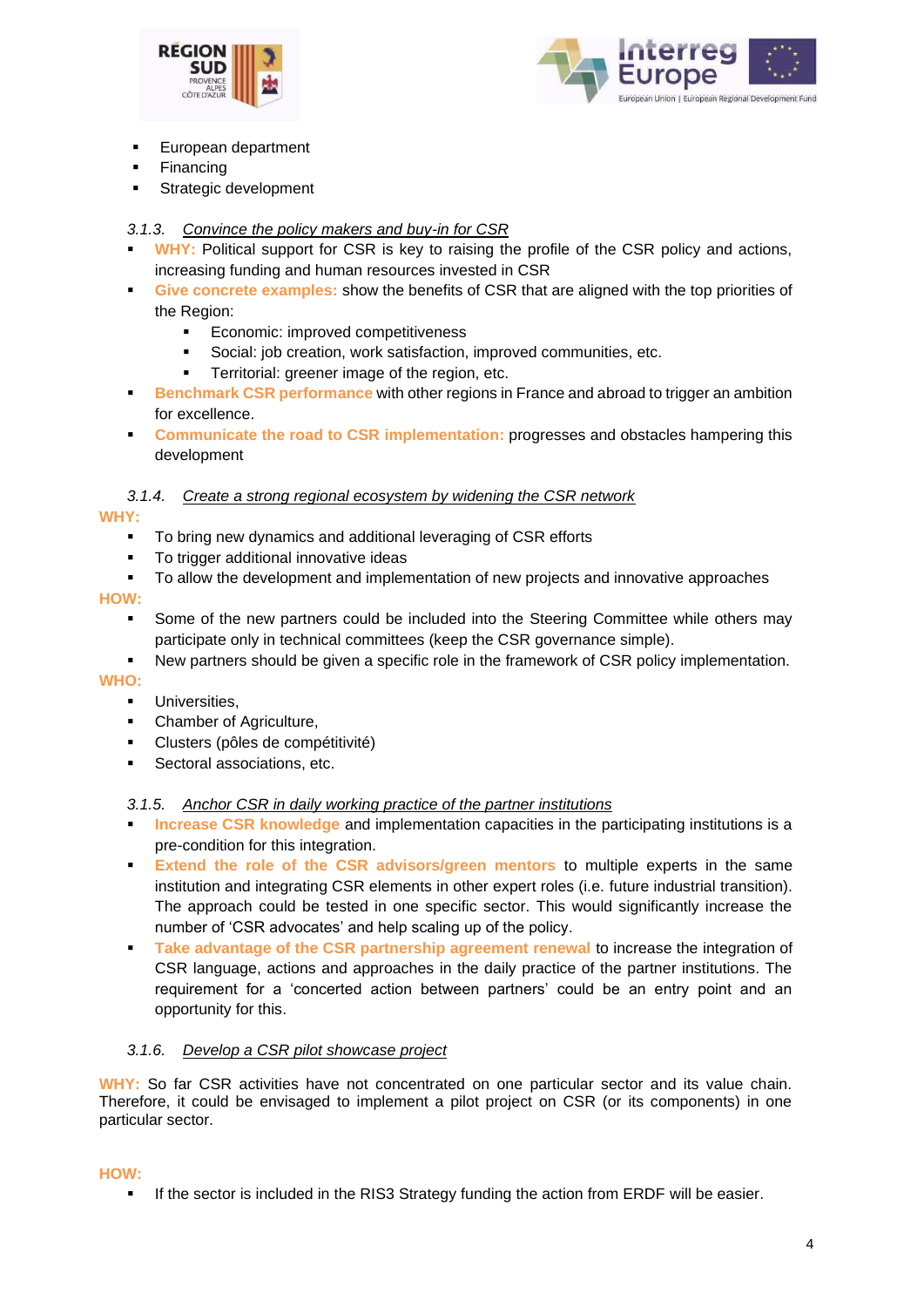



- **European department**
- **Financing**
- Strategic development

# *3.1.3. Convince the policy makers and buy-in for CSR*

- **WHY:** Political support for CSR is key to raising the profile of the CSR policy and actions, increasing funding and human resources invested in CSR
- **Give concrete examples:** show the benefits of CSR that are aligned with the top priorities of the Region:
	- **Economic: improved competitiveness**
	- Social: job creation, work satisfaction, improved communities, etc.
	- **•** Territorial: greener image of the region, etc.
- **Benchmark CSR performance** with other regions in France and abroad to trigger an ambition for excellence.
- **Communicate the road to CSR implementation:** progresses and obstacles hampering this development

## *3.1.4. Create a strong regional ecosystem by widening the CSR network*

## **WHY:**

- To bring new dynamics and additional leveraging of CSR efforts
- To trigger additional innovative ideas
- To allow the development and implementation of new projects and innovative approaches

#### **HOW:**

- **•** Some of the new partners could be included into the Steering Committee while others may participate only in technical committees (keep the CSR governance simple).
- New partners should be given a specific role in the framework of CSR policy implementation.

## **WHO:**

- **■** Universities,
- Chamber of Agriculture,
- Clusters (pôles de compétitivité)
- Sectoral associations, etc.

## *3.1.5. Anchor CSR in daily working practice of the partner institutions*

- **Increase CSR knowledge** and implementation capacities in the participating institutions is a pre-condition for this integration.
- **Extend the role of the CSR advisors/green mentors to multiple experts in the same** institution and integrating CSR elements in other expert roles (i.e. future industrial transition). The approach could be tested in one specific sector. This would significantly increase the number of 'CSR advocates' and help scaling up of the policy.
- **EXECTE 1** Take advantage of the CSR partnership agreement renewal to increase the integration of CSR language, actions and approaches in the daily practice of the partner institutions. The requirement for a 'concerted action between partners' could be an entry point and an opportunity for this.

## *3.1.6. Develop a CSR pilot showcase project*

**WHY:** So far CSR activities have not concentrated on one particular sector and its value chain. Therefore, it could be envisaged to implement a pilot project on CSR (or its components) in one particular sector.

#### **HOW:**

**.** If the sector is included in the RIS3 Strategy funding the action from ERDF will be easier.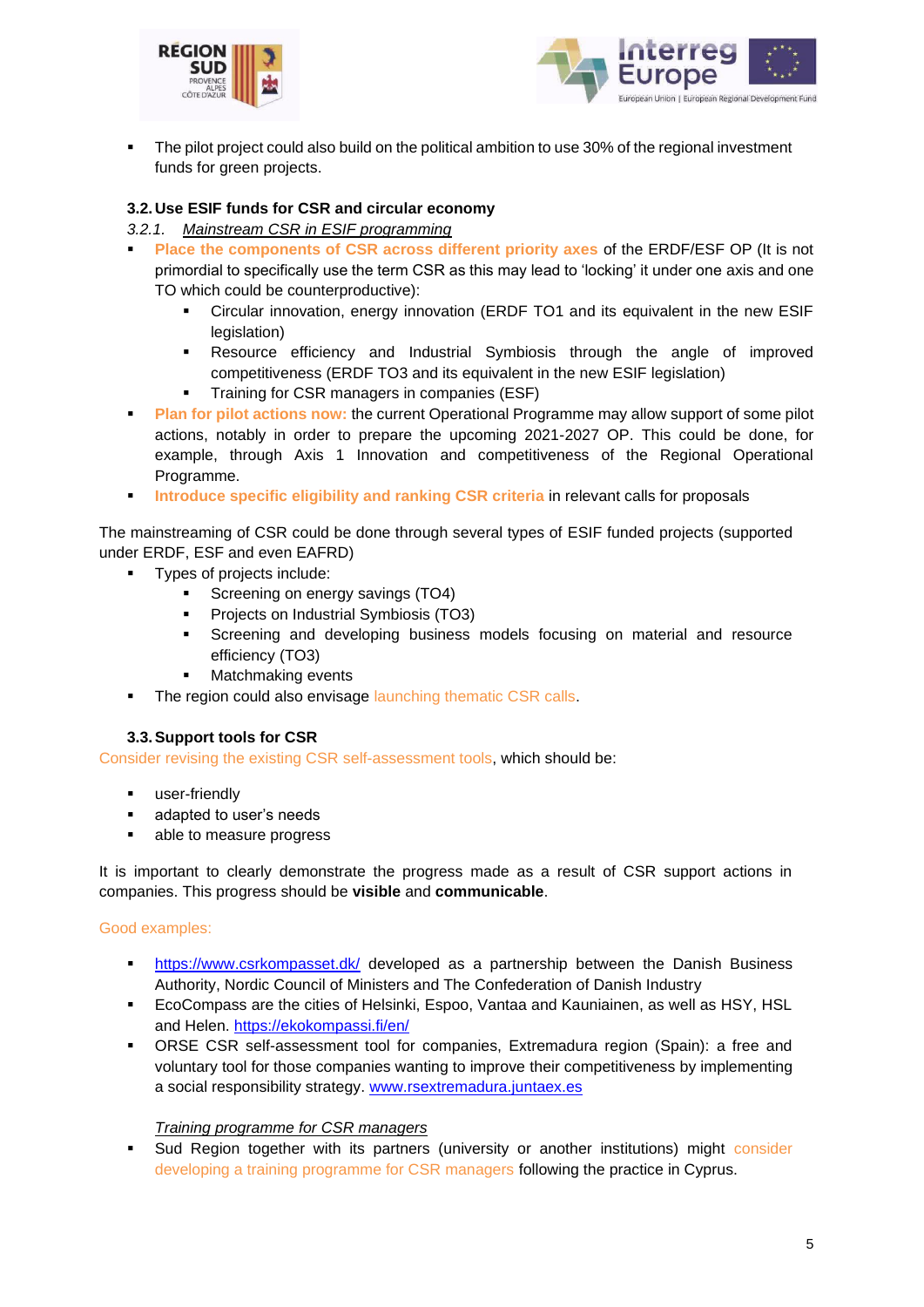



The pilot project could also build on the political ambition to use 30% of the regional investment funds for green projects.

# **3.2. Use ESIF funds for CSR and circular economy**

- *3.2.1. Mainstream CSR in ESIF programming*
- Place the components of CSR across different priority axes of the ERDF/ESF OP (It is not primordial to specifically use the term CSR as this may lead to 'locking' it under one axis and one TO which could be counterproductive):
	- Circular innovation, energy innovation (ERDF TO1 and its equivalent in the new ESIF legislation)
	- Resource efficiency and Industrial Symbiosis through the angle of improved competitiveness (ERDF TO3 and its equivalent in the new ESIF legislation)
	- **•** Training for CSR managers in companies (ESF)
- **Plan for pilot actions now: the current Operational Programme may allow support of some pilot** actions, notably in order to prepare the upcoming 2021-2027 OP. This could be done, for example, through Axis 1 Innovation and competitiveness of the Regional Operational Programme.
- **Introduce specific eligibility and ranking CSR criteria** in relevant calls for proposals

The mainstreaming of CSR could be done through several types of ESIF funded projects (supported under ERDF, ESF and even EAFRD)

- Types of projects include:
	- Screening on energy savings (TO4)
	- Projects on Industrial Symbiosis (TO3)
	- Screening and developing business models focusing on material and resource efficiency (TO3)
	- Matchmaking events
- The region could also envisage launching thematic CSR calls.

## **3.3.Support tools for CSR**

Consider revising the existing CSR self-assessment tools, which should be:

- user-friendly
- adapted to user's needs
- able to measure progress

It is important to clearly demonstrate the progress made as a result of CSR support actions in companies. This progress should be **visible** and **communicable**.

#### Good examples:

- **·** <https://www.csrkompasset.dk/> developed as a partnership between the Danish Business Authority, Nordic Council of Ministers and The Confederation of Danish Industry
- EcoCompass are the cities of Helsinki, Espoo, Vantaa and Kauniainen, as well as HSY, HSL and Helen.<https://ekokompassi.fi/en/>
- ORSE CSR self-assessment tool for companies, Extremadura region (Spain): a free and voluntary tool for those companies wanting to improve their competitiveness by implementing a social responsibility strategy. www.rsextremadura.juntaex.es

#### *Training programme for CSR managers*

**•** Sud Region together with its partners (university or another institutions) might consider developing a training programme for CSR managers following the practice in Cyprus.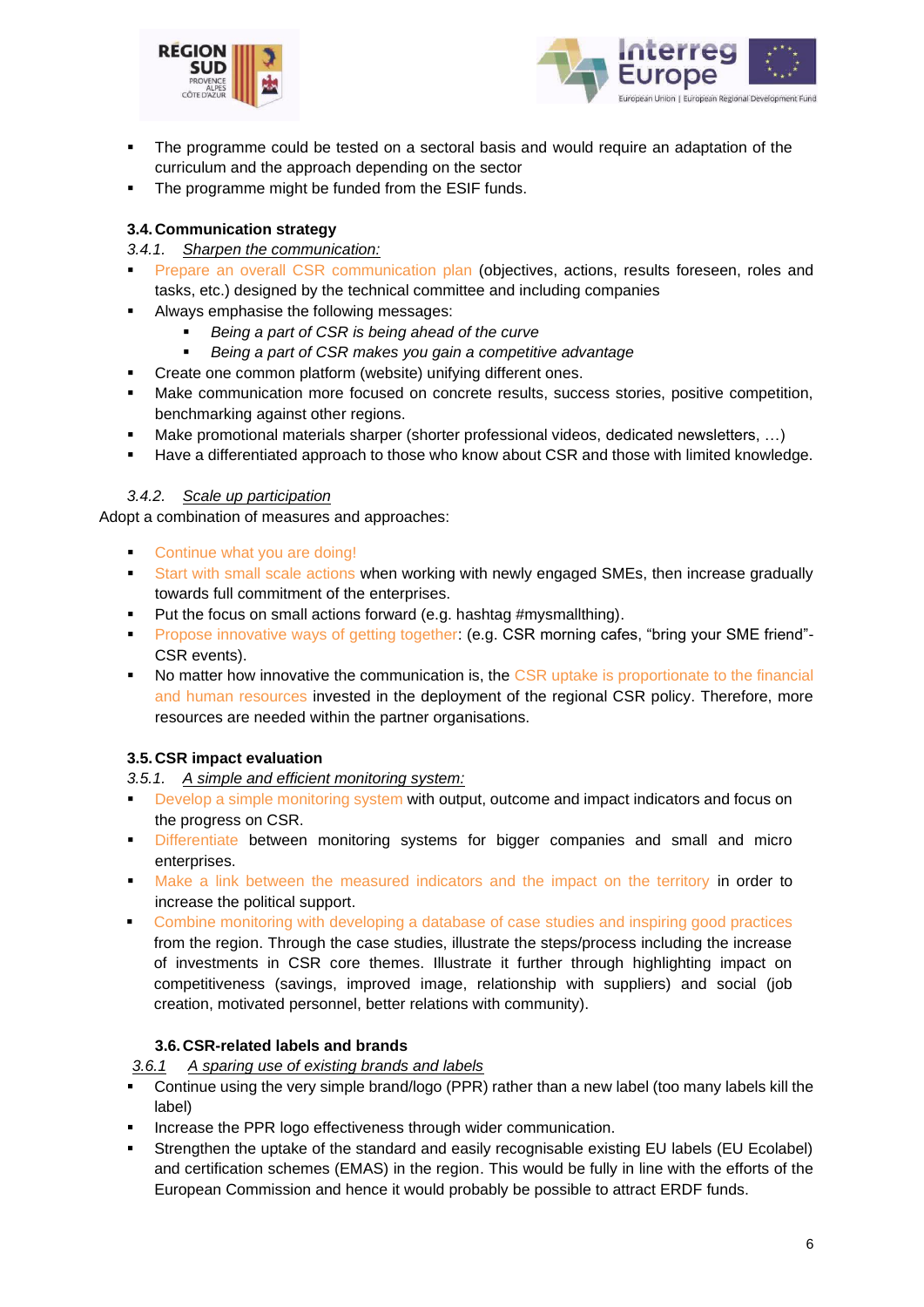



- The programme could be tested on a sectoral basis and would require an adaptation of the curriculum and the approach depending on the sector
- The programme might be funded from the ESIF funds.

# **3.4. Communication strategy**

## *3.4.1. Sharpen the communication:*

- Prepare an overall CSR communication plan (objectives, actions, results foreseen, roles and tasks, etc.) designed by the technical committee and including companies
- Always emphasise the following messages:
	- **Being a part of CSR is being ahead of the curve**
	- Being a part of CSR makes you gain a competitive advantage
	- Create one common platform (website) unifying different ones.
- Make communication more focused on concrete results, success stories, positive competition, benchmarking against other regions.
- Make promotional materials sharper (shorter professional videos, dedicated newsletters, ...)
- Have a differentiated approach to those who know about CSR and those with limited knowledge.

## *3.4.2. Scale up participation*

Adopt a combination of measures and approaches:

- Continue what you are doing!
- Start with small scale actions when working with newly engaged SMEs, then increase gradually towards full commitment of the enterprises.
- Put the focus on small actions forward (e.g. hashtag #mysmallthing).
- Propose innovative ways of getting together: (e.g. CSR morning cafes, "bring your SME friend"- CSR events).
- No matter how innovative the communication is, the CSR uptake is proportionate to the financial and human resources invested in the deployment of the regional CSR policy. Therefore, more resources are needed within the partner organisations.

## **3.5. CSR impact evaluation**

*3.5.1. A simple and efficient monitoring system:*

- Develop a simple monitoring system with output, outcome and impact indicators and focus on the progress on CSR.
- **Example 1** Differentiate between monitoring systems for bigger companies and small and micro enterprises.
- Make a link between the measured indicators and the impact on the territory in order to increase the political support.
- Combine monitoring with developing a database of case studies and inspiring good practices from the region. Through the case studies, illustrate the steps/process including the increase of investments in CSR core themes. Illustrate it further through highlighting impact on competitiveness (savings, improved image, relationship with suppliers) and social (job creation, motivated personnel, better relations with community).

# **3.6.CSR-related labels and brands**

*3.6.1 A sparing use of existing brands and labels*

- Continue using the very simple brand/logo (PPR) rather than a new label (too many labels kill the label)
- Increase the PPR logo effectiveness through wider communication.
- Strengthen the uptake of the standard and easily recognisable existing EU labels (EU Ecolabel) and certification schemes (EMAS) in the region. This would be fully in line with the efforts of the European Commission and hence it would probably be possible to attract ERDF funds.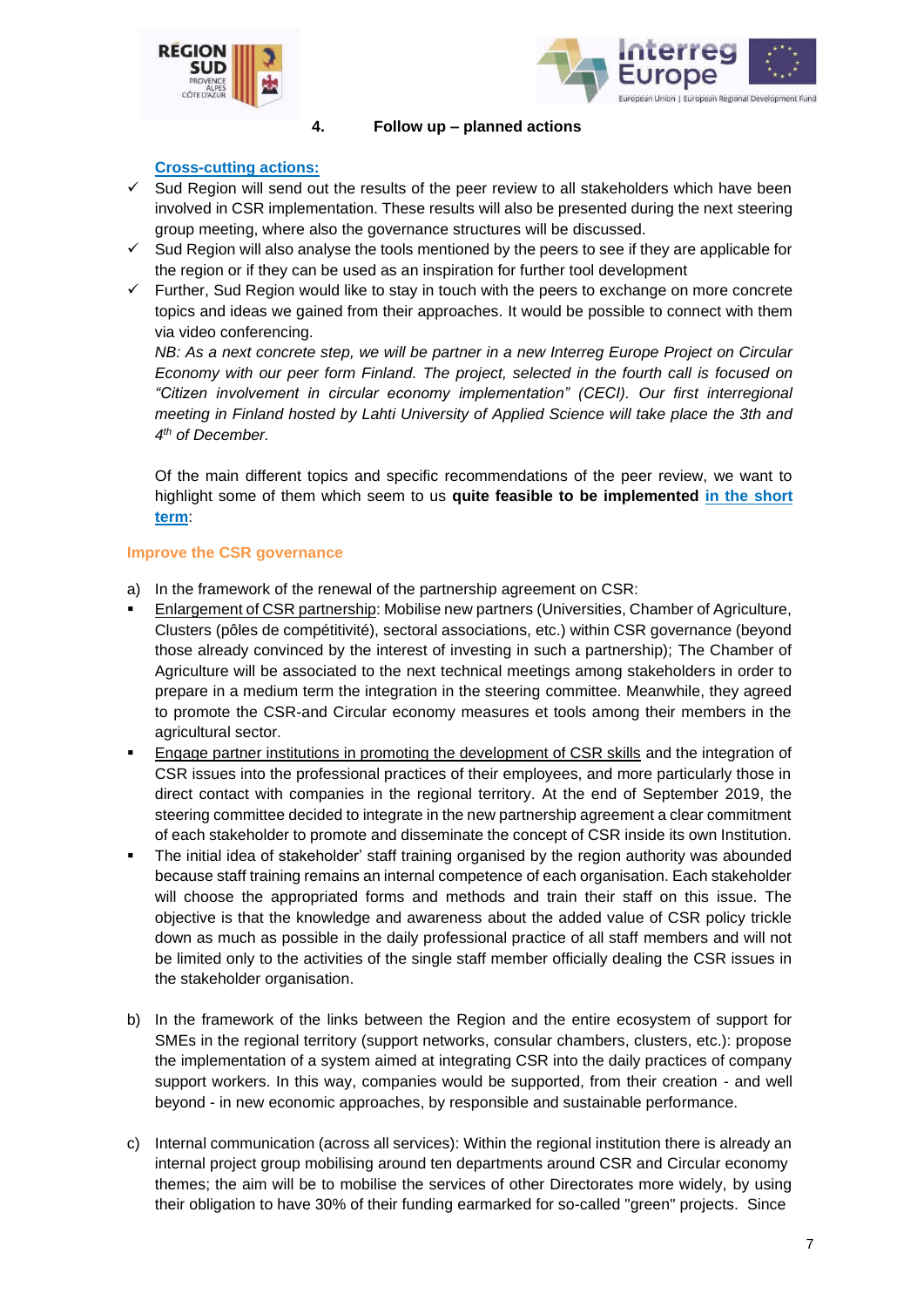



#### **4. Follow up – planned actions**

### **Cross-cutting actions:**

- $\checkmark$  Sud Region will send out the results of the peer review to all stakeholders which have been involved in CSR implementation. These results will also be presented during the next steering group meeting, where also the governance structures will be discussed.
- ✓ Sud Region will also analyse the tools mentioned by the peers to see if they are applicable for the region or if they can be used as an inspiration for further tool development
- $\checkmark$  Further, Sud Region would like to stay in touch with the peers to exchange on more concrete topics and ideas we gained from their approaches. It would be possible to connect with them via video conferencing.

*NB: As a next concrete step, we will be partner in a new Interreg Europe Project on Circular Economy with our peer form Finland. The project, selected in the fourth call is focused on "Citizen involvement in circular economy implementation" (CECI). Our first interregional meeting in Finland hosted by Lahti University of Applied Science will take place the 3th and 4 th of December.*

Of the main different topics and specific recommendations of the peer review, we want to highlight some of them which seem to us **quite feasible to be implemented in the short term**:

#### **Improve the CSR governance**

- a) In the framework of the renewal of the partnership agreement on CSR:
- Enlargement of CSR partnership: Mobilise new partners (Universities, Chamber of Agriculture, Clusters (pôles de compétitivité), sectoral associations, etc.) within CSR governance (beyond those already convinced by the interest of investing in such a partnership); The Chamber of Agriculture will be associated to the next technical meetings among stakeholders in order to prepare in a medium term the integration in the steering committee. Meanwhile, they agreed to promote the CSR-and Circular economy measures et tools among their members in the agricultural sector.
- **Engage partner institutions in promoting the development of CSR skills and the integration of** CSR issues into the professional practices of their employees, and more particularly those in direct contact with companies in the regional territory. At the end of September 2019, the steering committee decided to integrate in the new partnership agreement a clear commitment of each stakeholder to promote and disseminate the concept of CSR inside its own Institution.
- The initial idea of stakeholder' staff training organised by the region authority was abounded because staff training remains an internal competence of each organisation. Each stakeholder will choose the appropriated forms and methods and train their staff on this issue. The objective is that the knowledge and awareness about the added value of CSR policy trickle down as much as possible in the daily professional practice of all staff members and will not be limited only to the activities of the single staff member officially dealing the CSR issues in the stakeholder organisation.
- b) In the framework of the links between the Region and the entire ecosystem of support for SMEs in the regional territory (support networks, consular chambers, clusters, etc.): propose the implementation of a system aimed at integrating CSR into the daily practices of company support workers. In this way, companies would be supported, from their creation - and well beyond - in new economic approaches, by responsible and sustainable performance.
- c) Internal communication (across all services): Within the regional institution there is already an internal project group mobilising around ten departments around CSR and Circular economy themes; the aim will be to mobilise the services of other Directorates more widely, by using their obligation to have 30% of their funding earmarked for so-called "green" projects. Since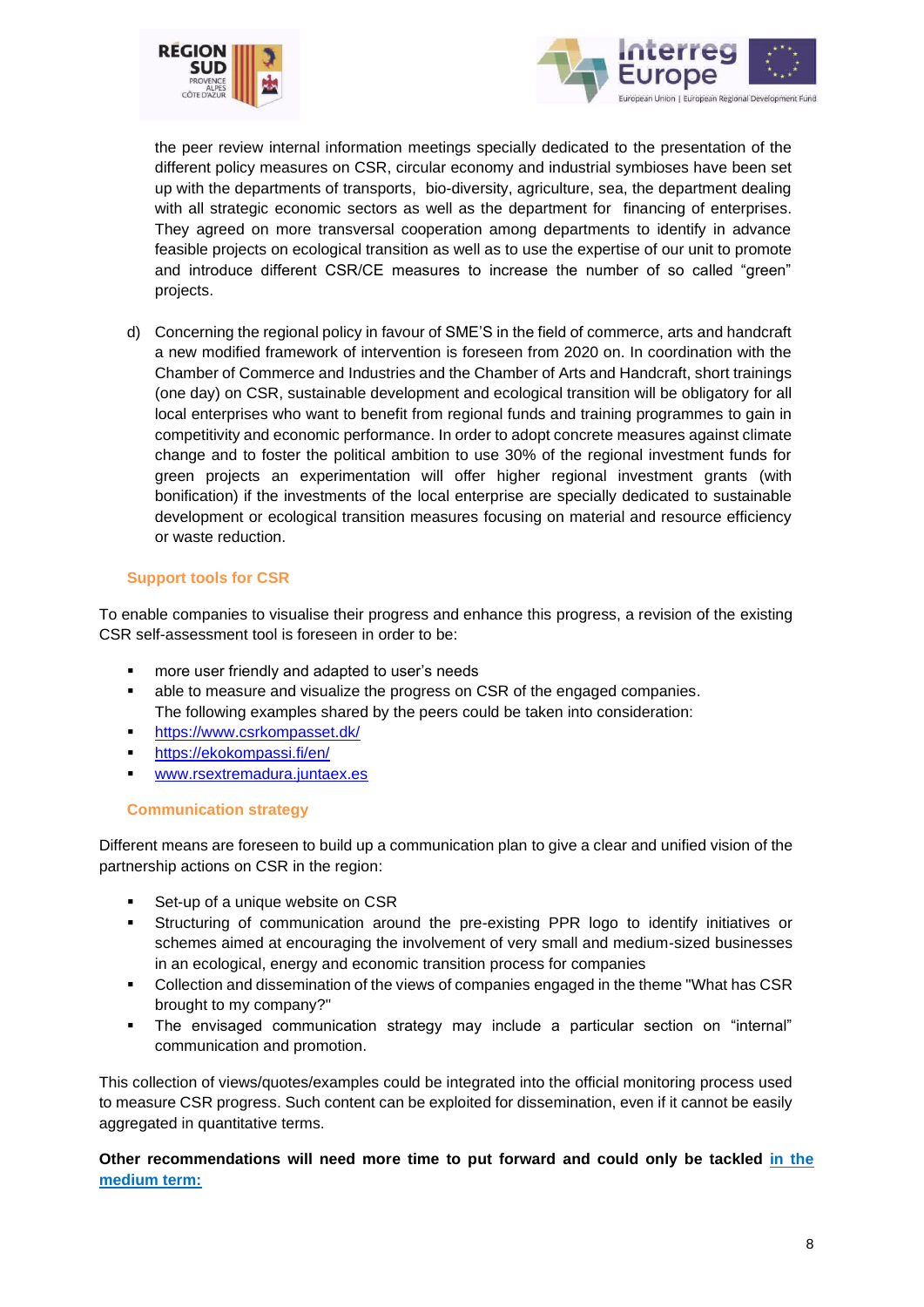



the peer review internal information meetings specially dedicated to the presentation of the different policy measures on CSR, circular economy and industrial symbioses have been set up with the departments of transports, bio-diversity, agriculture, sea, the department dealing with all strategic economic sectors as well as the department for financing of enterprises. They agreed on more transversal cooperation among departments to identify in advance feasible projects on ecological transition as well as to use the expertise of our unit to promote and introduce different CSR/CE measures to increase the number of so called "green" projects.

d) Concerning the regional policy in favour of SME'S in the field of commerce, arts and handcraft a new modified framework of intervention is foreseen from 2020 on. In coordination with the Chamber of Commerce and Industries and the Chamber of Arts and Handcraft, short trainings (one day) on CSR, sustainable development and ecological transition will be obligatory for all local enterprises who want to benefit from regional funds and training programmes to gain in competitivity and economic performance. In order to adopt concrete measures against climate change and to foster the political ambition to use 30% of the regional investment funds for green projects an experimentation will offer higher regional investment grants (with bonification) if the investments of the local enterprise are specially dedicated to sustainable development or ecological transition measures focusing on material and resource efficiency or waste reduction.

## **Support tools for CSR**

To enable companies to visualise their progress and enhance this progress, a revision of the existing CSR self-assessment tool is foreseen in order to be:

- more user friendly and adapted to user's needs
- able to measure and visualize the progress on CSR of the engaged companies. The following examples shared by the peers could be taken into consideration:
- <https://www.csrkompasset.dk/>
- <https://ekokompassi.fi/en/>
- [www.rsextremadura.juntaex.es](http://www.rsextremadura.juntaex.es/)

#### **Communication strategy**

Different means are foreseen to build up a communication plan to give a clear and unified vision of the partnership actions on CSR in the region:

- Set-up of a unique website on CSR
- Structuring of communication around the pre-existing PPR logo to identify initiatives or schemes aimed at encouraging the involvement of very small and medium-sized businesses in an ecological, energy and economic transition process for companies
- Collection and dissemination of the views of companies engaged in the theme "What has CSR brought to my company?"
- The envisaged communication strategy may include a particular section on "internal" communication and promotion.

This collection of views/quotes/examples could be integrated into the official monitoring process used to measure CSR progress. Such content can be exploited for dissemination, even if it cannot be easily aggregated in quantitative terms.

**Other recommendations will need more time to put forward and could only be tackled in the medium term:**